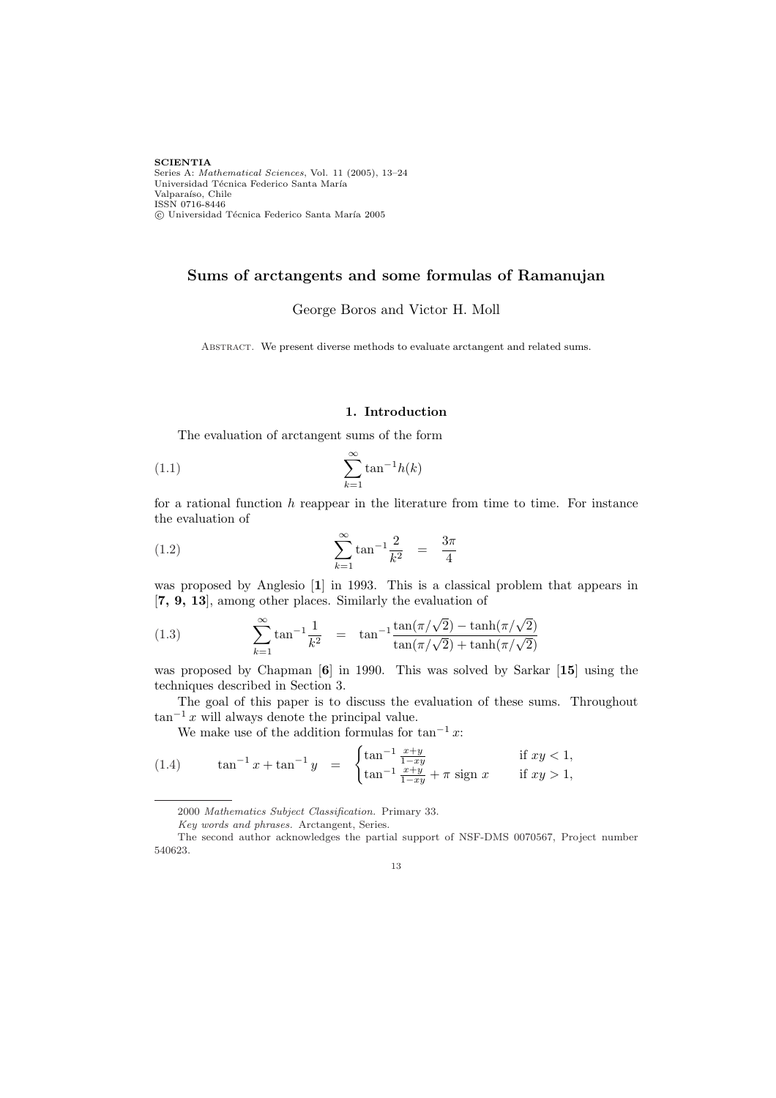**SCIENTIA** Series A: *Mathematical Sciences*, Vol. 11 (2005), 13–24 Universidad Técnica Federico Santa María Valparaíso, Chile ISSN 0716-8446 °c Universidad T´ecnica Federico Santa Mar´ıa 2005

# Sums of arctangents and some formulas of Ramanujan

George Boros and Victor H. Moll

ABSTRACT. We present diverse methods to evaluate arctangent and related sums.

#### 1. Introduction

The evaluation of arctangent sums of the form

$$
(1.1)\qquad \qquad \sum_{k=1}^{\infty} \tan^{-1}h(k)
$$

for a rational function  $h$  reappear in the literature from time to time. For instance the evaluation of

(1.2) 
$$
\sum_{k=1}^{\infty} \tan^{-1} \frac{2}{k^2} = \frac{3\pi}{4}
$$

was proposed by Anglesio [1] in 1993. This is a classical problem that appears in [7, 9, 13], among other places. Similarly the evaluation of

(1.3) 
$$
\sum_{k=1}^{\infty} \tan^{-1} \frac{1}{k^2} = \tan^{-1} \frac{\tan(\pi/\sqrt{2}) - \tanh(\pi/\sqrt{2})}{\tan(\pi/\sqrt{2}) + \tanh(\pi/\sqrt{2})}
$$

was proposed by Chapman [6] in 1990. This was solved by Sarkar [15] using the techniques described in Section 3.

The goal of this paper is to discuss the evaluation of these sums. Throughout  $\tan^{-1} x$  will always denote the principal value.

We make use of the addition formulas for  $\tan^{-1} x$ :

(1.4) 
$$
\tan^{-1} x + \tan^{-1} y = \begin{cases} \tan^{-1} \frac{x+y}{1-xy} & \text{if } xy < 1, \\ \tan^{-1} \frac{x+y}{1-xy} + \pi \text{ sign } x & \text{if } xy > 1, \end{cases}
$$

13

<sup>2000</sup> Mathematics Subject Classification. Primary 33.

Key words and phrases. Arctangent, Series.

The second author acknowledges the partial support of NSF-DMS 0070567, Project number 540623.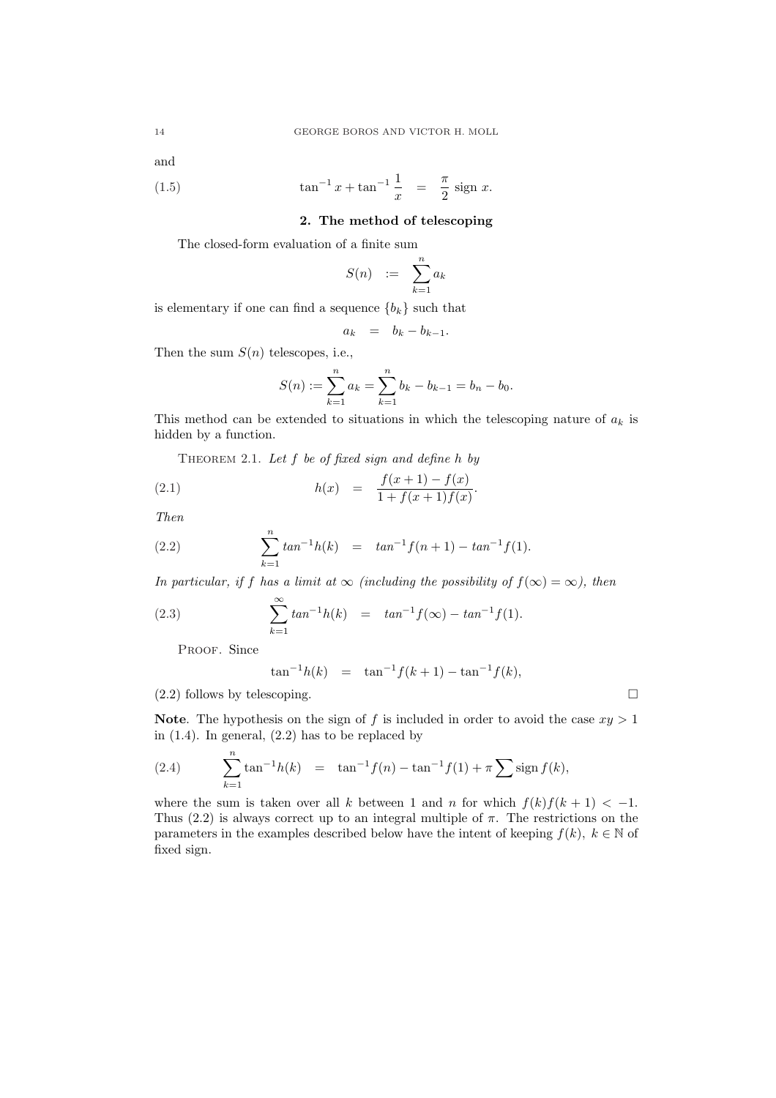and

(1.5) 
$$
\tan^{-1} x + \tan^{-1} \frac{1}{x} = \frac{\pi}{2} \text{ sign } x.
$$

## 2. The method of telescoping

The closed-form evaluation of a finite sum

$$
S(n) \quad := \quad \sum_{k=1}^{n} a_k
$$

is elementary if one can find a sequence  ${b_k}$  such that

$$
a_k = b_k - b_{k-1}.
$$

Then the sum  $S(n)$  telescopes, i.e.,

$$
S(n) := \sum_{k=1}^{n} a_k = \sum_{k=1}^{n} b_k - b_{k-1} = b_n - b_0.
$$

This method can be extended to situations in which the telescoping nature of  $a_k$  is hidden by a function.

THEOREM 2.1. Let  $f$  be of fixed sign and define  $h$  by

(2.1) 
$$
h(x) = \frac{f(x+1) - f(x)}{1 + f(x+1)f(x)}.
$$

Then

(2.2) 
$$
\sum_{k=1}^{n} \tan^{-1}h(k) = \tan^{-1}f(n+1) - \tan^{-1}f(1).
$$

In particular, if f has a limit at  $\infty$  (including the possibility of  $f(\infty) = \infty$ ), then

(2.3) 
$$
\sum_{k=1}^{\infty} \tan^{-1}h(k) = \tan^{-1}f(\infty) - \tan^{-1}f(1).
$$

PROOF. Since

$$
\tan^{-1}h(k) = \tan^{-1}f(k+1) - \tan^{-1}f(k),
$$

 $(2.2)$  follows by telescoping.  $\Box$ 

Note. The hypothesis on the sign of f is included in order to avoid the case  $xy > 1$ in  $(1.4)$ . In general,  $(2.2)$  has to be replaced by

(2.4) 
$$
\sum_{k=1}^{n} \tan^{-1}h(k) = \tan^{-1}f(n) - \tan^{-1}f(1) + \pi \sum_{k=1}^{\infty} \text{sign } f(k),
$$

where the sum is taken over all k between 1 and n for which  $f(k)f(k+1) < -1$ . Thus  $(2.2)$  is always correct up to an integral multiple of  $\pi$ . The restrictions on the parameters in the examples described below have the intent of keeping  $f(k)$ ,  $k \in \mathbb{N}$  of fixed sign.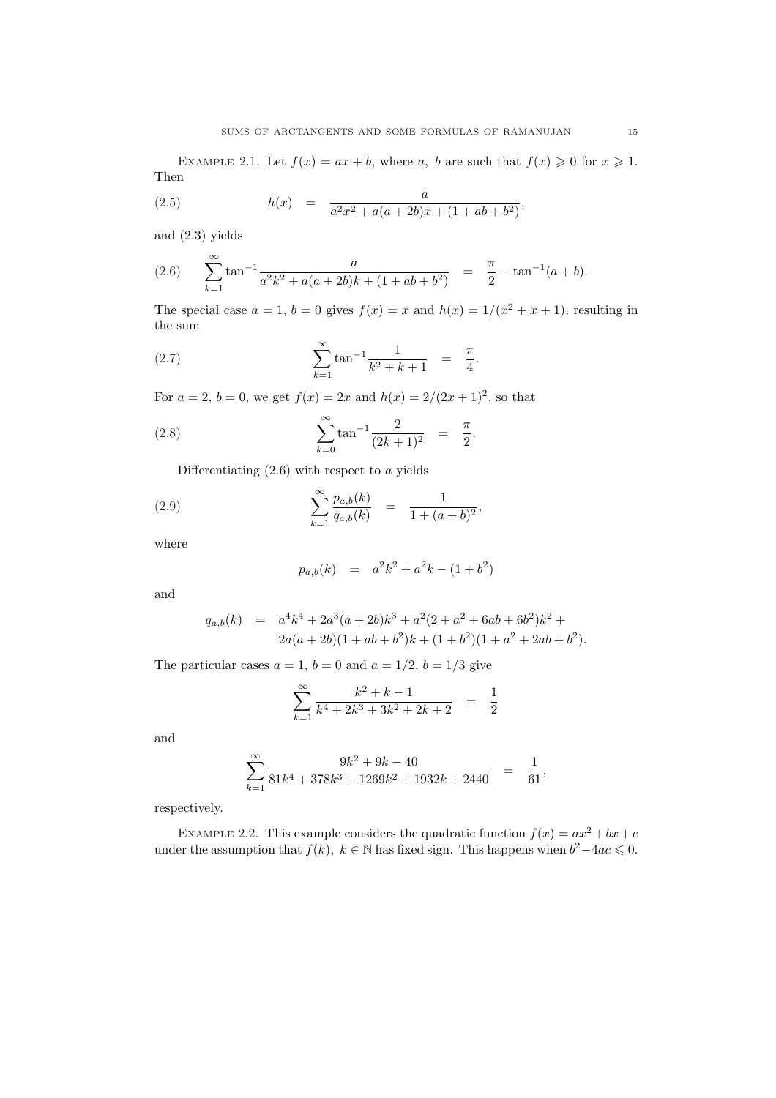EXAMPLE 2.1. Let  $f(x) = ax + b$ , where a, b are such that  $f(x) \ge 0$  for  $x \ge 1$ . Then

(2.5) 
$$
h(x) = \frac{a}{a^2x^2 + a(a+2b)x + (1+ab+b^2)},
$$

and (2.3) yields

(2.6) 
$$
\sum_{k=1}^{\infty} \tan^{-1} \frac{a}{a^2 k^2 + a(a+2b)k + (1+ab+b^2)} = \frac{\pi}{2} - \tan^{-1}(a+b).
$$

The special case  $a = 1$ ,  $b = 0$  gives  $f(x) = x$  and  $h(x) = 1/(x^2 + x + 1)$ , resulting in the sum

(2.7) 
$$
\sum_{k=1}^{\infty} \tan^{-1} \frac{1}{k^2 + k + 1} = \frac{\pi}{4}.
$$

For  $a = 2$ ,  $b = 0$ , we get  $f(x) = 2x$  and  $h(x) = 2/(2x+1)^2$ , so that

(2.8) 
$$
\sum_{k=0}^{\infty} \tan^{-1} \frac{2}{(2k+1)^2} = \frac{\pi}{2}.
$$

Differentiating  $(2.6)$  with respect to a yields

(2.9) 
$$
\sum_{k=1}^{\infty} \frac{p_{a,b}(k)}{q_{a,b}(k)} = \frac{1}{1 + (a+b)^2},
$$

where

$$
p_{a,b}(k) = a^2k^2 + a^2k - (1+b^2)
$$

and

$$
q_{a,b}(k) = a4k4 + 2a3(a+2b)k3 + a2(2+a2 + 6ab + 6b2)k2 + 2a(a+2b)(1+ab+b2)k + (1+b2)(1+a2 + 2ab + b2).
$$

The particular cases  $a = 1$ ,  $b = 0$  and  $a = 1/2$ ,  $b = 1/3$  give

$$
\sum_{k=1}^{\infty} \frac{k^2 + k - 1}{k^4 + 2k^3 + 3k^2 + 2k + 2} = \frac{1}{2}
$$

and

$$
\sum_{k=1}^\infty\frac{9k^2+9k-40}{81k^4+378k^3+1269k^2+1932k+2440}\ \ =\ \ \frac{1}{61},
$$

respectively.

EXAMPLE 2.2. This example considers the quadratic function  $f(x) = ax^2 + bx + c$ under the assumption that  $f(k)$ ,  $k \in \mathbb{N}$  has fixed sign. This happens when  $b^2 - 4ac \leq 0$ .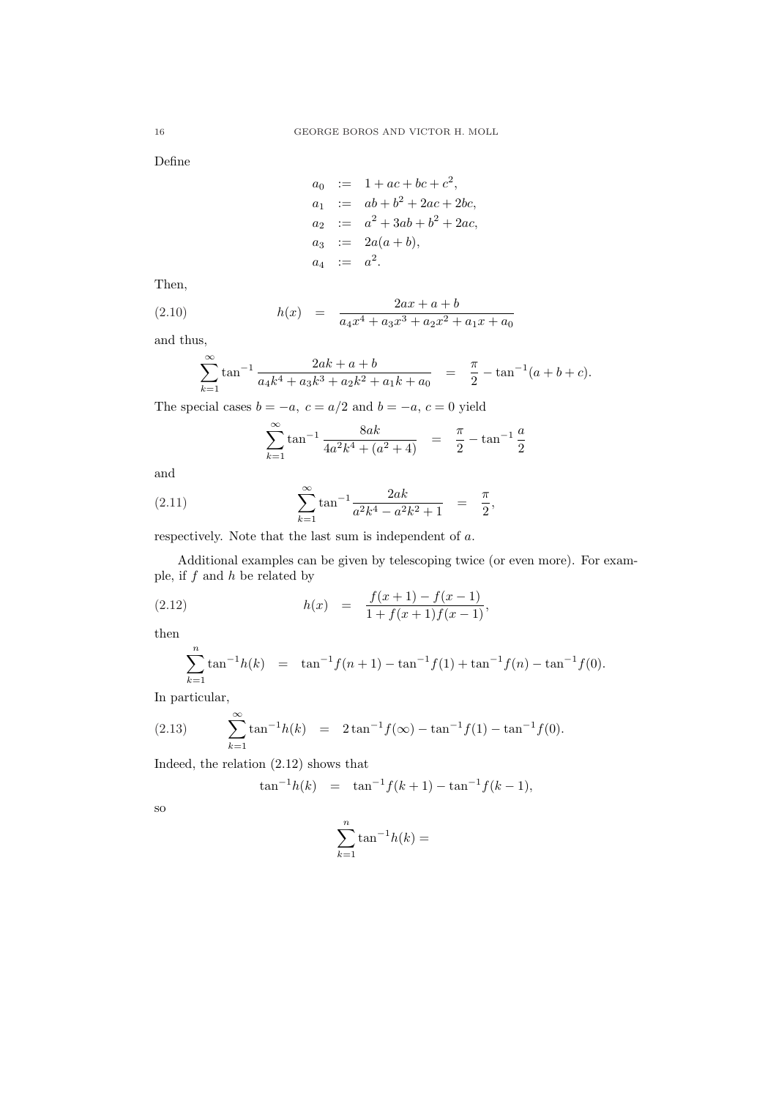Define

$$
a_0 := 1 + ac + bc + c^2,
$$
  
\n
$$
a_1 := ab + b^2 + 2ac + 2bc,
$$
  
\n
$$
a_2 := a^2 + 3ab + b^2 + 2ac,
$$
  
\n
$$
a_3 := 2a(a + b),
$$
  
\n
$$
a_4 := a^2.
$$

Then,

(2.10) 
$$
h(x) = \frac{2ax + a + b}{a_4x^4 + a_3x^3 + a_2x^2 + a_1x + a_0}
$$

and thus,

$$
\sum_{k=1}^{\infty} \tan^{-1} \frac{2ak + a + b}{a_4k^4 + a_3k^3 + a_2k^2 + a_1k + a_0} = \frac{\pi}{2} - \tan^{-1}(a + b + c).
$$

The special cases  $b = -a, c = a/2$  and  $b = -a, c = 0$  yield

$$
\sum_{k=1}^{\infty} \tan^{-1} \frac{8ak}{4a^2k^4 + (a^2 + 4)} = \frac{\pi}{2} - \tan^{-1} \frac{a}{2}
$$

and

(2.11) 
$$
\sum_{k=1}^{\infty} \tan^{-1} \frac{2ak}{a^2k^4 - a^2k^2 + 1} = \frac{\pi}{2},
$$

respectively. Note that the last sum is independent of a.

Additional examples can be given by telescoping twice (or even more). For example, if  $f$  and  $h$  be related by

(2.12) 
$$
h(x) = \frac{f(x+1) - f(x-1)}{1 + f(x+1)f(x-1)},
$$

then

$$
\sum_{k=1}^{n} \tan^{-1}h(k) = \tan^{-1}f(n+1) - \tan^{-1}f(1) + \tan^{-1}f(n) - \tan^{-1}f(0).
$$

In particular,

(2.13) 
$$
\sum_{k=1}^{\infty} \tan^{-1}h(k) = 2 \tan^{-1} f(\infty) - \tan^{-1} f(1) - \tan^{-1} f(0).
$$

Indeed, the relation (2.12) shows that

$$
\tan^{-1}h(k) = \tan^{-1}f(k+1) - \tan^{-1}f(k-1),
$$

so

$$
\sum_{k=1}^{n} \tan^{-1}h(k) =
$$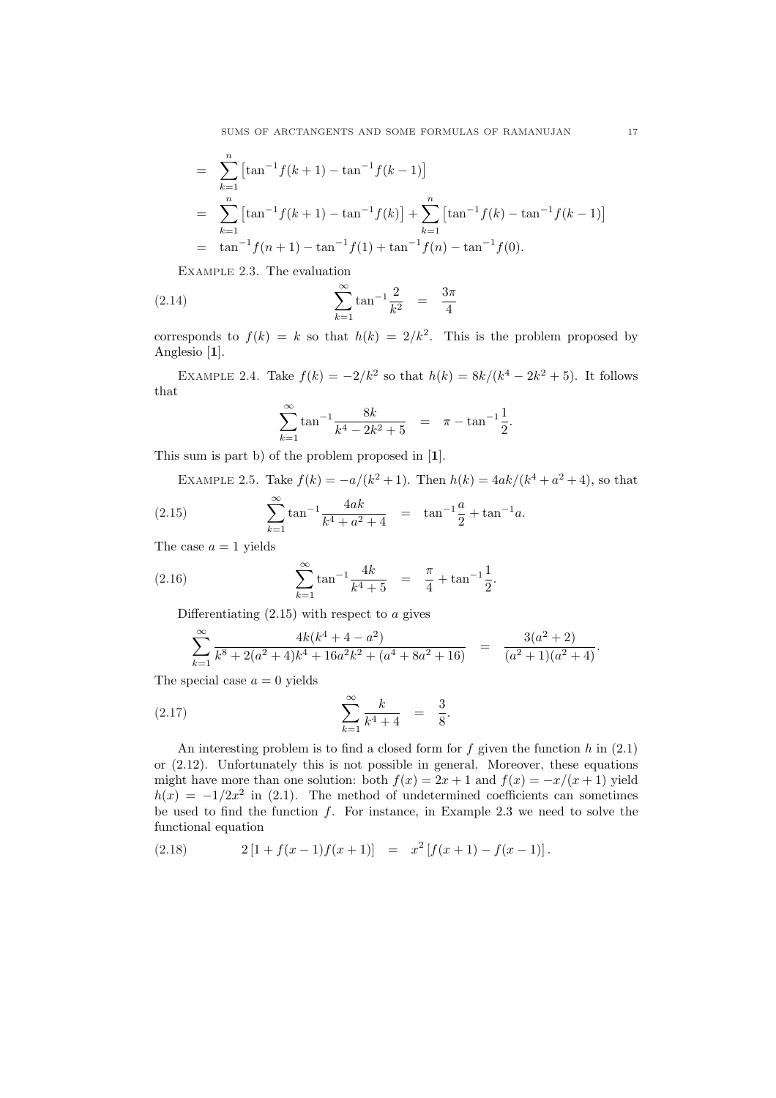SUMS OF ARCTANGENTS AND SOME FORMULAS OF RAMANUJAN 17

$$
= \sum_{k=1}^{n} \left[ \tan^{-1} f(k+1) - \tan^{-1} f(k-1) \right]
$$
  
= 
$$
\sum_{k=1}^{n} \left[ \tan^{-1} f(k+1) - \tan^{-1} f(k) \right] + \sum_{k=1}^{n} \left[ \tan^{-1} f(k) - \tan^{-1} f(k-1) \right]
$$
  
= 
$$
\tan^{-1} f(n+1) - \tan^{-1} f(1) + \tan^{-1} f(n) - \tan^{-1} f(0).
$$

Example 2.3. The evaluation

(2.14) 
$$
\sum_{k=1}^{\infty} \tan^{-1} \frac{2}{k^2} = \frac{3\pi}{4}
$$

corresponds to  $f(k) = k$  so that  $h(k) = 2/k^2$ . This is the problem proposed by Anglesio [1].

EXAMPLE 2.4. Take  $f(k) = -2/k^2$  so that  $h(k) = 8k/(k^4 - 2k^2 + 5)$ . It follows that

$$
\sum_{k=1}^{\infty} \tan^{-1} \frac{8k}{k^4 - 2k^2 + 5} = \pi - \tan^{-1} \frac{1}{2}.
$$

This sum is part b) of the problem proposed in [1].

EXAMPLE 2.5. Take  $f(k) = -a/(k^2 + 1)$ . Then  $h(k) = 4ak/(k^4 + a^2 + 4)$ , so that  $\infty$  $4ab$ a

(2.15) 
$$
\sum_{k=1}^{\infty} \tan^{-1} \frac{4ak}{k^4 + a^2 + 4} = \tan^{-1} \frac{a}{2} + \tan^{-1} a.
$$

The case  $a = 1$  yields

(2.16) 
$$
\sum_{k=1}^{\infty} \tan^{-1} \frac{4k}{k^4 + 5} = \frac{\pi}{4} + \tan^{-1} \frac{1}{2}.
$$

Differentiating  $(2.15)$  with respect to a gives

$$
\sum_{k=1}^{\infty} \frac{4k(k^4 + 4 - a^2)}{k^8 + 2(a^2 + 4)k^4 + 16a^2k^2 + (a^4 + 8a^2 + 16)} = \frac{3(a^2 + 2)}{(a^2 + 1)(a^2 + 4)}.
$$

The special case  $a = 0$  yields

(2.17) 
$$
\sum_{k=1}^{\infty} \frac{k}{k^4 + 4} = \frac{3}{8}.
$$

An interesting problem is to find a closed form for  $f$  given the function  $h$  in  $(2.1)$ or (2.12). Unfortunately this is not possible in general. Moreover, these equations might have more than one solution: both  $f(x) = 2x + 1$  and  $f(x) = -x/(x+1)$  yield  $h(x) = -1/2x^2$  in (2.1). The method of undetermined coefficients can sometimes be used to find the function  $f$ . For instance, in Example 2.3 we need to solve the functional equation

(2.18) 
$$
2[1 + f(x-1)f(x+1)] = x^2[f(x+1) - f(x-1)].
$$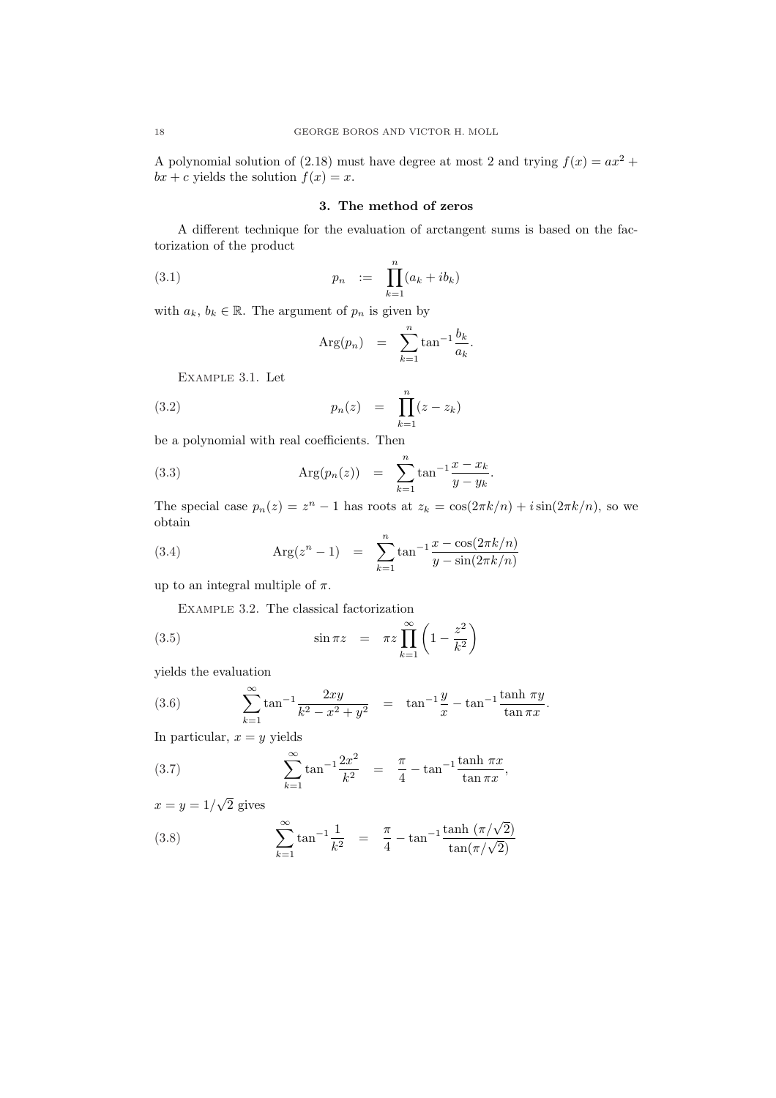A polynomial solution of (2.18) must have degree at most 2 and trying  $f(x) = ax^2 +$  $bx + c$  yields the solution  $f(x) = x$ .

## 3. The method of zeros

A different technique for the evaluation of arctangent sums is based on the factorization of the product

(3.1) 
$$
p_n := \prod_{k=1}^n (a_k + ib_k)
$$

with  $a_k, b_k \in \mathbb{R}$ . The argument of  $p_n$  is given by

$$
Arg(p_n) = \sum_{k=1}^n \tan^{-1} \frac{b_k}{a_k}.
$$

Example 3.1. Let

(3.2) 
$$
p_n(z) = \prod_{k=1}^n (z - z_k)
$$

be a polynomial with real coefficients. Then

(3.3) 
$$
Arg(p_n(z)) = \sum_{k=1}^n tan^{-1} \frac{x - x_k}{y - y_k}.
$$

The special case  $p_n(z) = z^n - 1$  has roots at  $z_k = \cos(2\pi k/n) + i\sin(2\pi k/n)$ , so we obtain

(3.4) 
$$
Arg(z^{n} - 1) = \sum_{k=1}^{n} \tan^{-1} \frac{x - \cos(2\pi k/n)}{y - \sin(2\pi k/n)}
$$

up to an integral multiple of  $\pi$ .

Example 3.2. The classical factorization

(3.5) 
$$
\sin \pi z = \pi z \prod_{k=1}^{\infty} \left(1 - \frac{z^2}{k^2}\right)
$$

yields the evaluation

(3.6) 
$$
\sum_{k=1}^{\infty} \tan^{-1} \frac{2xy}{k^2 - x^2 + y^2} = \tan^{-1} \frac{y}{x} - \tan^{-1} \frac{\tanh \pi y}{\tan \pi x}.
$$

In particular,  $x = y$  yields

(3.7) 
$$
\sum_{k=1}^{\infty} \tan^{-1} \frac{2x^2}{k^2} = \frac{\pi}{4} - \tan^{-1} \frac{\tanh \pi x}{\tan \pi x},
$$

 $x = y = 1/$ √ 2 gives

(3.8) 
$$
\sum_{k=1}^{\infty} \tan^{-1} \frac{1}{k^2} = \frac{\pi}{4} - \tan^{-1} \frac{\tanh(\pi/\sqrt{2})}{\tan(\pi/\sqrt{2})}
$$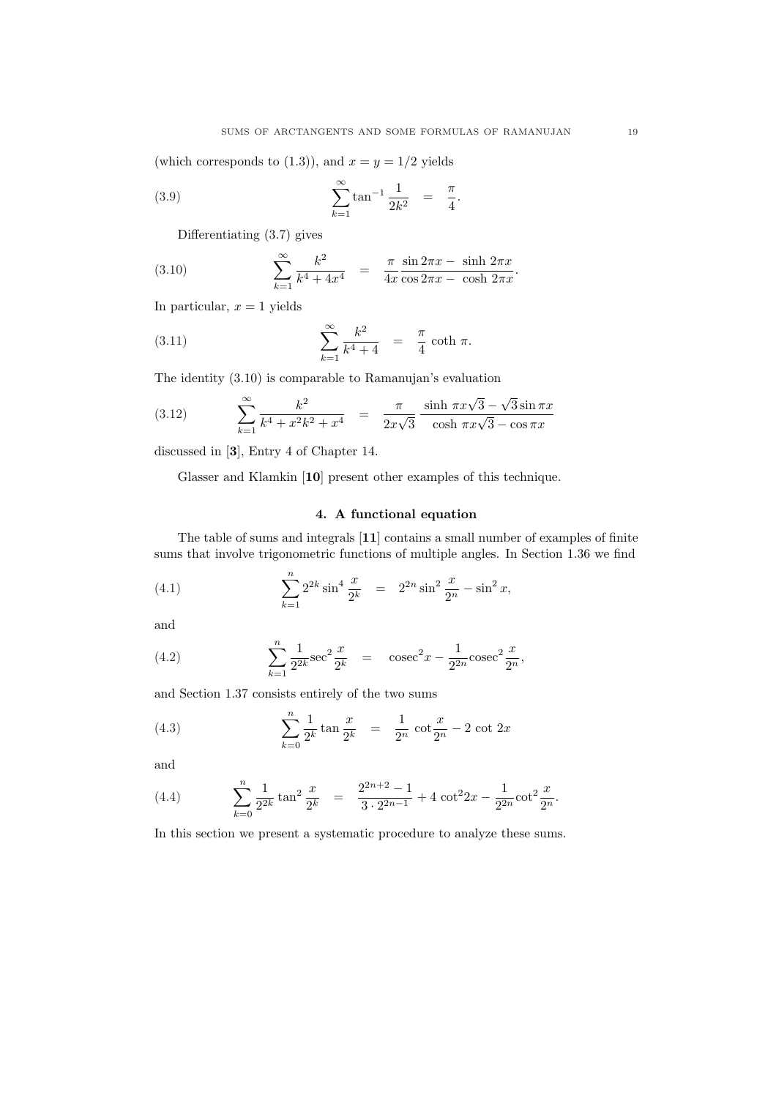(which corresponds to (1.3)), and  $x = y = 1/2$  yields

(3.9) 
$$
\sum_{k=1}^{\infty} \tan^{-1} \frac{1}{2k^2} = \frac{\pi}{4}.
$$

Differentiating (3.7) gives

(3.10) 
$$
\sum_{k=1}^{\infty} \frac{k^2}{k^4 + 4x^4} = \frac{\pi}{4x} \frac{\sin 2\pi x - \sinh 2\pi x}{\cos 2\pi x - \cosh 2\pi x}.
$$

In particular,  $x = 1$  yields

(3.11) 
$$
\sum_{k=1}^{\infty} \frac{k^2}{k^4 + 4} = \frac{\pi}{4} \coth \pi.
$$

The identity (3.10) is comparable to Ramanujan's evaluation

(3.12) 
$$
\sum_{k=1}^{\infty} \frac{k^2}{k^4 + x^2 k^2 + x^4} = \frac{\pi}{2x\sqrt{3}} \frac{\sinh \pi x \sqrt{3} - \sqrt{3} \sin \pi x}{\cosh \pi x \sqrt{3} - \cos \pi x}
$$

discussed in [3], Entry 4 of Chapter 14.

Glasser and Klamkin [10] present other examples of this technique.

#### 4. A functional equation

The table of sums and integrals [11] contains a small number of examples of finite sums that involve trigonometric functions of multiple angles. In Section 1.36 we find

(4.1) 
$$
\sum_{k=1}^{n} 2^{2k} \sin^4 \frac{x}{2^k} = 2^{2n} \sin^2 \frac{x}{2^n} - \sin^2 x,
$$

and

(4.2) 
$$
\sum_{k=1}^{n} \frac{1}{2^{2k}} \sec^2 \frac{x}{2^k} = \csc^2 x - \frac{1}{2^{2n}} \csc^2 \frac{x}{2^n},
$$

and Section 1.37 consists entirely of the two sums

(4.3) 
$$
\sum_{k=0}^{n} \frac{1}{2^k} \tan \frac{x}{2^k} = \frac{1}{2^n} \cot \frac{x}{2^n} - 2 \cot 2x
$$

and

(4.4) 
$$
\sum_{k=0}^{n} \frac{1}{2^{2k}} \tan^2 \frac{x}{2^k} = \frac{2^{2n+2} - 1}{3 \cdot 2^{2n-1}} + 4 \cot^2 2x - \frac{1}{2^{2n}} \cot^2 \frac{x}{2^n}.
$$

In this section we present a systematic procedure to analyze these sums.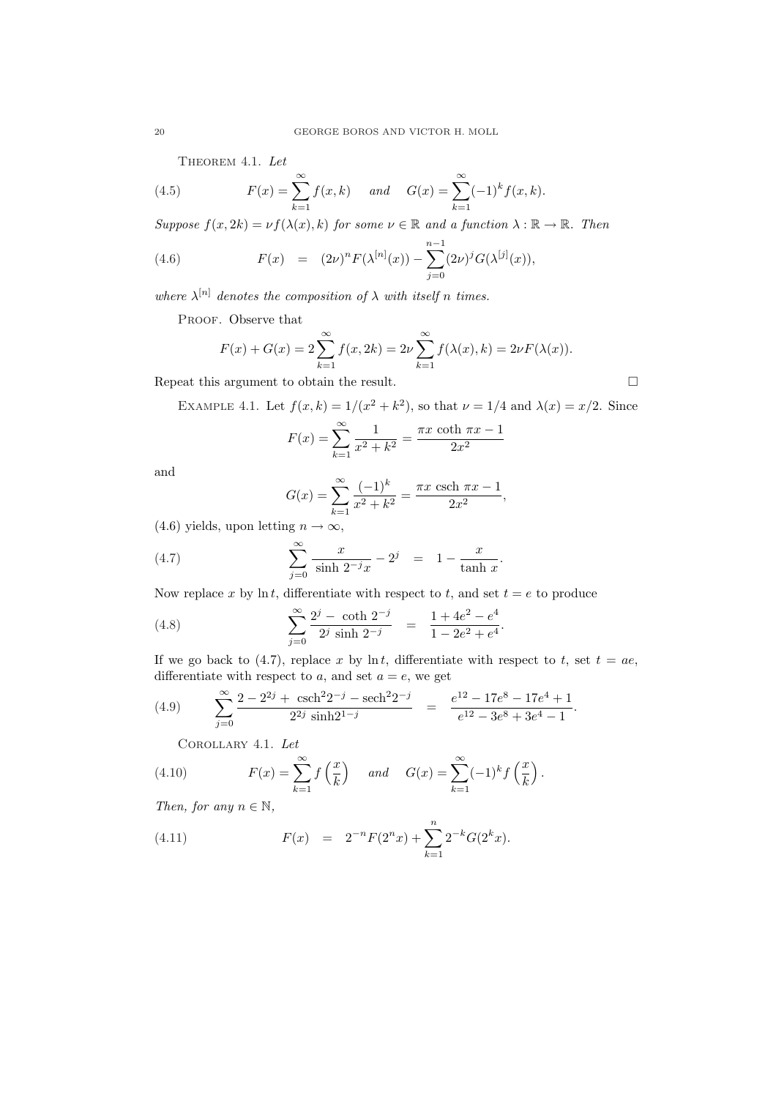THEOREM 4.1. Let

(4.5) 
$$
F(x) = \sum_{k=1}^{\infty} f(x, k) \quad \text{and} \quad G(x) = \sum_{k=1}^{\infty} (-1)^k f(x, k).
$$

Suppose  $f(x, 2k) = \nu f(\lambda(x), k)$  for some  $\nu \in \mathbb{R}$  and a function  $\lambda : \mathbb{R} \to \mathbb{R}$ . Then

(4.6) 
$$
F(x) = (2\nu)^n F(\lambda^{[n]}(x)) - \sum_{j=0}^{n-1} (2\nu)^j G(\lambda^{[j]}(x)),
$$

where  $\lambda^{[n]}$  denotes the composition of  $\lambda$  with itself n times.

PROOF. Observe that

$$
F(x) + G(x) = 2 \sum_{k=1}^{\infty} f(x, 2k) = 2\nu \sum_{k=1}^{\infty} f(\lambda(x), k) = 2\nu F(\lambda(x)).
$$

Repeat this argument to obtain the result.  $\Box$ 

EXAMPLE 4.1. Let 
$$
f(x, k) = 1/(x^2 + k^2)
$$
, so that  $\nu = 1/4$  and  $\lambda(x) = x/2$ . Since

$$
F(x) = \sum_{k=1}^{\infty} \frac{1}{x^2 + k^2} = \frac{\pi x \coth \pi x - 1}{2x^2}
$$

and

$$
G(x) = \sum_{k=1}^{\infty} \frac{(-1)^k}{x^2 + k^2} = \frac{\pi x \operatorname{csch} \pi x - 1}{2x^2},
$$

(4.6) yields, upon letting  $n \to \infty$ ,

(4.7) 
$$
\sum_{j=0}^{\infty} \frac{x}{\sinh 2^{-j}x} - 2^j = 1 - \frac{x}{\tanh x}.
$$

Now replace x by ln t, differentiate with respect to t, and set  $t = e$  to produce

(4.8) 
$$
\sum_{j=0}^{\infty} \frac{2^j - \coth 2^{-j}}{2^j \sinh 2^{-j}} = \frac{1 + 4e^2 - e^4}{1 - 2e^2 + e^4}.
$$

If we go back to (4.7), replace x by  $\ln t$ , differentiate with respect to t, set  $t = ae$ , differentiate with respect to a, and set  $a = e$ , we get

(4.9) 
$$
\sum_{j=0}^{\infty} \frac{2 - 2^{2j} + \operatorname{csch}^2 2^{-j} - \operatorname{sech}^2 2^{-j}}{2^{2j} \sinh 2^{1-j}} = \frac{e^{12} - 17e^8 - 17e^4 + 1}{e^{12} - 3e^8 + 3e^4 - 1}.
$$

Corollary 4.1. Let

(4.10) 
$$
F(x) = \sum_{k=1}^{\infty} f\left(\frac{x}{k}\right) \quad \text{and} \quad G(x) = \sum_{k=1}^{\infty} (-1)^k f\left(\frac{x}{k}\right).
$$

Then, for any  $n \in \mathbb{N}$ ,

(4.11) 
$$
F(x) = 2^{-n} F(2^{n} x) + \sum_{k=1}^{n} 2^{-k} G(2^{k} x).
$$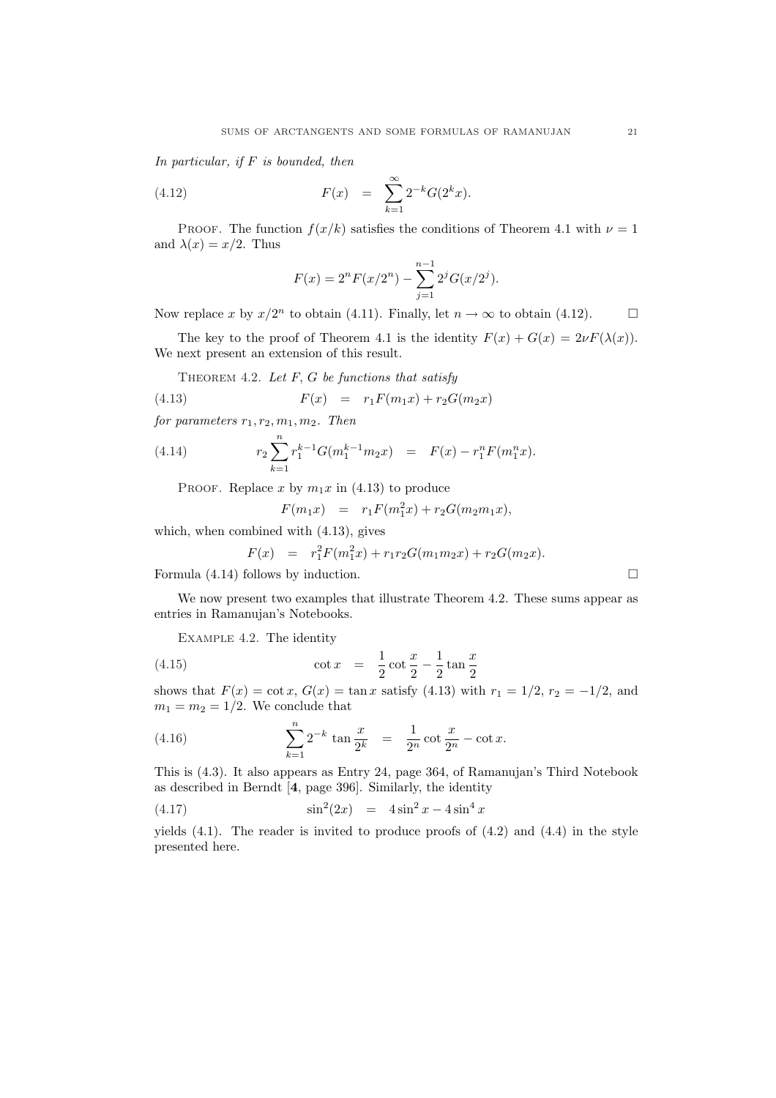In particular, if  $F$  is bounded, then

(4.12) 
$$
F(x) = \sum_{k=1}^{\infty} 2^{-k} G(2^{k} x).
$$

PROOF. The function  $f(x/k)$  satisfies the conditions of Theorem 4.1 with  $\nu = 1$ and  $\lambda(x) = x/2$ . Thus

$$
F(x) = 2^{n} F(x/2^{n}) - \sum_{j=1}^{n-1} 2^{j} G(x/2^{j}).
$$

Now replace x by  $x/2^n$  to obtain (4.11). Finally, let  $n \to \infty$  to obtain (4.12).  $\Box$ 

The key to the proof of Theorem 4.1 is the identity  $F(x) + G(x) = 2\nu F(\lambda(x)).$ We next present an extension of this result.

THEOREM 4.2. Let  $F$ ,  $G$  be functions that satisfy

(4.13) 
$$
F(x) = r_1 F(m_1 x) + r_2 G(m_2 x)
$$

for parameters  $r_1, r_2, m_1, m_2$ . Then

(4.14) 
$$
r_2 \sum_{k=1}^n r_1^{k-1} G(m_1^{k-1} m_2 x) = F(x) - r_1^n F(m_1^n x).
$$

PROOF. Replace x by  $m_1x$  in (4.13) to produce

$$
F(m_1x) = r_1F(m_1^2x) + r_2G(m_2m_1x),
$$

which, when combined with (4.13), gives

$$
F(x) = r_1^2 F(m_1^2 x) + r_1 r_2 G(m_1 m_2 x) + r_2 G(m_2 x).
$$

Formula (4.14) follows by induction.  $\Box$ 

We now present two examples that illustrate Theorem 4.2. These sums appear as entries in Ramanujan's Notebooks.

Example 4.2. The identity

(4.15) 
$$
\cot x = \frac{1}{2} \cot \frac{x}{2} - \frac{1}{2} \tan \frac{x}{2}
$$

shows that  $F(x) = \cot x$ ,  $G(x) = \tan x$  satisfy (4.13) with  $r_1 = 1/2$ ,  $r_2 = -1/2$ , and  $m_1 = m_2 = 1/2$ . We conclude that

(4.16) 
$$
\sum_{k=1}^{n} 2^{-k} \tan \frac{x}{2^k} = \frac{1}{2^n} \cot \frac{x}{2^n} - \cot x.
$$

This is (4.3). It also appears as Entry 24, page 364, of Ramanujan's Third Notebook as described in Berndt [4, page 396]. Similarly, the identity

(4.17)  $\sin^2(2x) = 4\sin^2 x - 4\sin^4 x$ 

yields  $(4.1)$ . The reader is invited to produce proofs of  $(4.2)$  and  $(4.4)$  in the style presented here.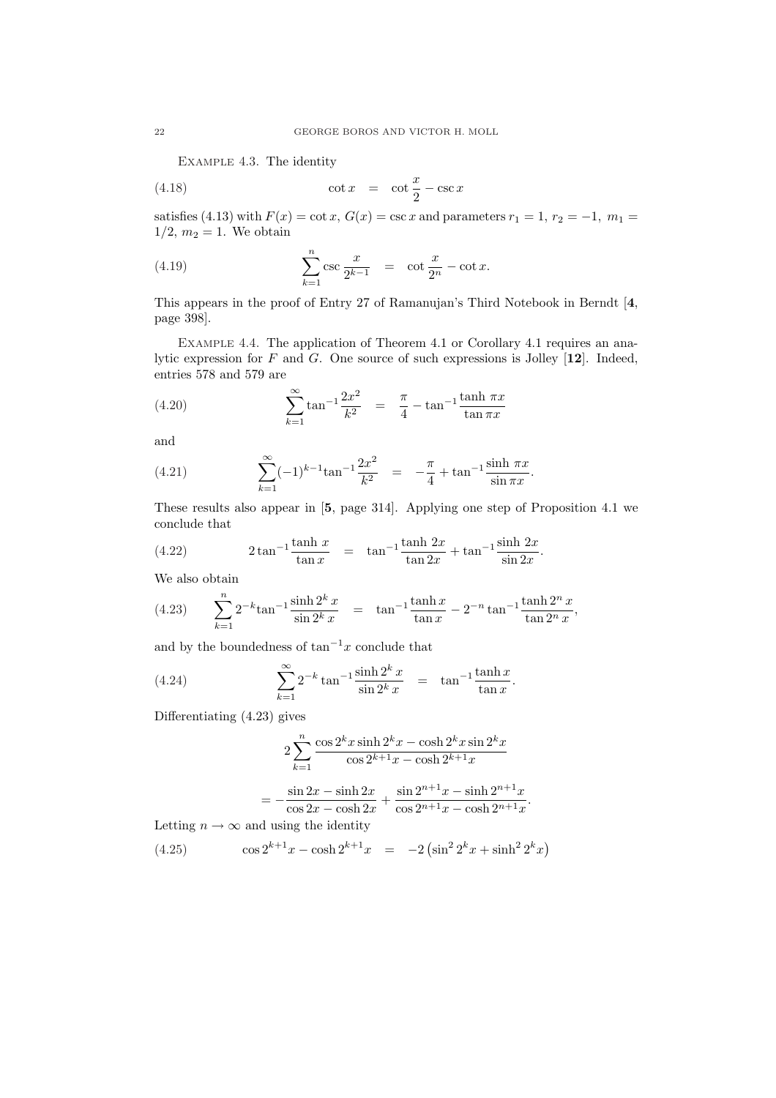Example 4.3. The identity

(4.18) 
$$
\cot x = \cot \frac{x}{2} - \csc x
$$

satisfies (4.13) with  $F(x) = \cot x$ ,  $G(x) = \csc x$  and parameters  $r_1 = 1$ ,  $r_2 = -1$ ,  $m_1 =$  $1/2, m_2 = 1$ . We obtain

(4.19) 
$$
\sum_{k=1}^{n} \csc \frac{x}{2^{k-1}} = \cot \frac{x}{2^n} - \cot x.
$$

This appears in the proof of Entry 27 of Ramanujan's Third Notebook in Berndt [4, page 398].

EXAMPLE 4.4. The application of Theorem 4.1 or Corollary 4.1 requires an analytic expression for  $F$  and  $G$ . One source of such expressions is Jolley [12]. Indeed, entries 578 and 579 are

(4.20) 
$$
\sum_{k=1}^{\infty} \tan^{-1} \frac{2x^2}{k^2} = \frac{\pi}{4} - \tan^{-1} \frac{\tanh \pi x}{\tan \pi x}
$$

and

(4.21) 
$$
\sum_{k=1}^{\infty} (-1)^{k-1} \tan^{-1} \frac{2x^2}{k^2} = -\frac{\pi}{4} + \tan^{-1} \frac{\sinh \pi x}{\sin \pi x}.
$$

These results also appear in [5, page 314]. Applying one step of Proposition 4.1 we conclude that

(4.22) 
$$
2 \tan^{-1} \frac{\tanh x}{\tan x} = \tan^{-1} \frac{\tanh 2x}{\tan 2x} + \tan^{-1} \frac{\sinh 2x}{\sin 2x}.
$$

We also obtain

(4.23) 
$$
\sum_{k=1}^{n} 2^{-k} \tan^{-1} \frac{\sinh 2^{k} x}{\sin 2^{k} x} = \tan^{-1} \frac{\tanh x}{\tan x} - 2^{-n} \tan^{-1} \frac{\tanh 2^{n} x}{\tan 2^{n} x},
$$

and by the boundedness of  $\tan^{-1}x$  conclude that

(4.24) 
$$
\sum_{k=1}^{\infty} 2^{-k} \tan^{-1} \frac{\sinh 2^{k} x}{\sin 2^{k} x} = \tan^{-1} \frac{\tanh x}{\tan x}.
$$

Differentiating (4.23) gives

$$
2\sum_{k=1}^{n} \frac{\cos 2^{k} x \sinh 2^{k} x - \cosh 2^{k} x \sin 2^{k} x}{\cos 2^{k+1} x - \cosh 2^{k+1} x}
$$

$$
= -\frac{\sin 2x - \sinh 2x}{\cos 2x - \cosh 2x} + \frac{\sin 2^{n+1} x - \sinh 2^{n+1} x}{\cos 2^{n+1} x - \cosh 2^{n+1} x}.
$$

Letting  $n \to \infty$  and using the identity

(4.25) 
$$
\cos 2^{k+1}x - \cosh 2^{k+1}x = -2(\sin^2 2^k x + \sinh^2 2^k x)
$$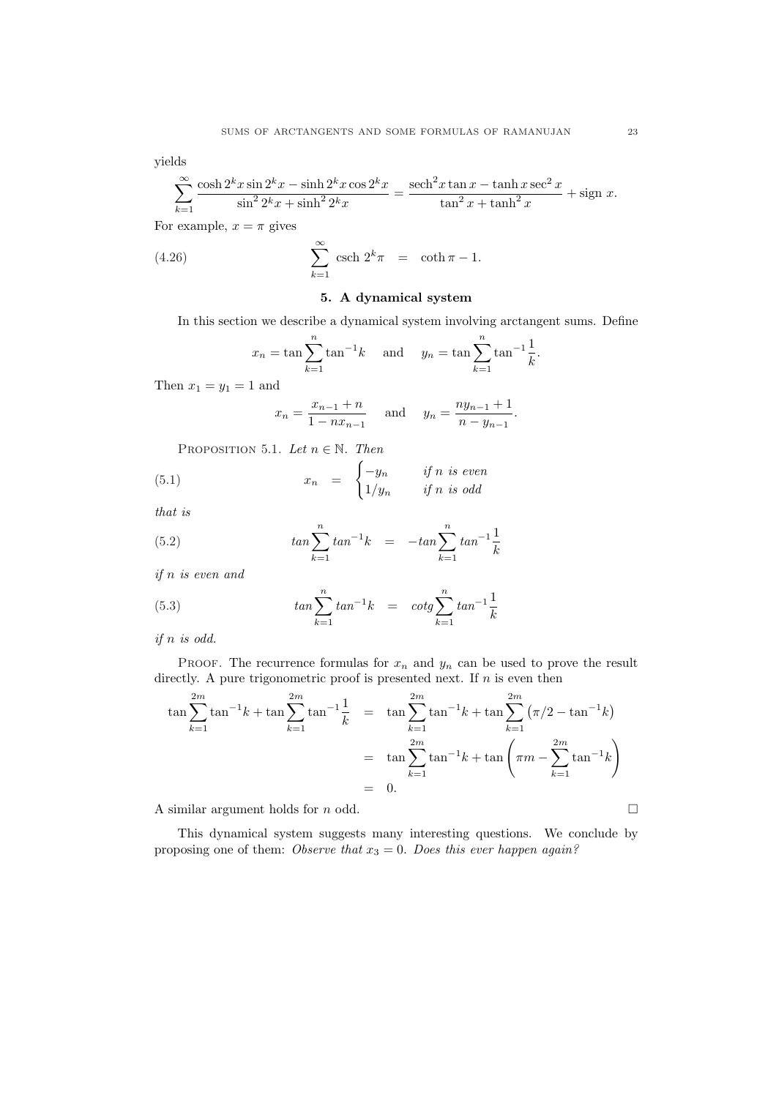yields

$$
\sum_{k=1}^{\infty} \frac{\cosh 2^k x \sin 2^k x - \sinh 2^k x \cos 2^k x}{\sin^2 2^k x + \sinh^2 2^k x} = \frac{\operatorname{sech}^2 x \tan x - \tanh x \sec^2 x}{\tan^2 x + \tanh^2 x} + \operatorname{sign} x.
$$

For example,  $x = \pi$  gives

(4.26) 
$$
\sum_{k=1}^{\infty} \operatorname{csch} 2^k \pi = \coth \pi - 1.
$$

## 5. A dynamical system

In this section we describe a dynamical system involving arctangent sums. Define

$$
x_n = \tan \sum_{k=1}^n \tan^{-1} k
$$
 and  $y_n = \tan \sum_{k=1}^n \tan^{-1} \frac{1}{k}$ .

Then  $x_1 = y_1 = 1$  and

$$
x_n = \frac{x_{n-1} + n}{1 - nx_{n-1}}
$$
 and  $y_n = \frac{ny_{n-1} + 1}{n - y_{n-1}}$ .

PROPOSITION 5.1. Let  $n \in \mathbb{N}$ . Then

(5.1) 
$$
x_n = \begin{cases} -y_n & \text{if } n \text{ is even} \\ 1/y_n & \text{if } n \text{ is odd} \end{cases}
$$

that is

(5.2) 
$$
\tan \sum_{k=1}^{n} \tan^{-1} k = -\tan \sum_{k=1}^{n} \tan^{-1} \frac{1}{k}
$$

if n is even and

(5.3) 
$$
\tan \sum_{k=1}^{n} \tan^{-1} k = \cot \sum_{k=1}^{n} \tan^{-1} \frac{1}{k}
$$

if n is odd.

PROOF. The recurrence formulas for  $x_n$  and  $y_n$  can be used to prove the result directly. A pure trigonometric proof is presented next. If  $n$  is even then

$$
\tan \sum_{k=1}^{2m} \tan^{-1} k + \tan \sum_{k=1}^{2m} \tan^{-1} \frac{1}{k} = \tan \sum_{k=1}^{2m} \tan^{-1} k + \tan \sum_{k=1}^{2m} (\pi/2 - \tan^{-1} k)
$$

$$
= \tan \sum_{k=1}^{2m} \tan^{-1} k + \tan \left( \pi m - \sum_{k=1}^{2m} \tan^{-1} k \right)
$$

$$
= 0.
$$

A similar argument holds for  $n$  odd.  $\Box$ 

This dynamical system suggests many interesting questions. We conclude by proposing one of them: Observe that  $x_3 = 0$ . Does this ever happen again?